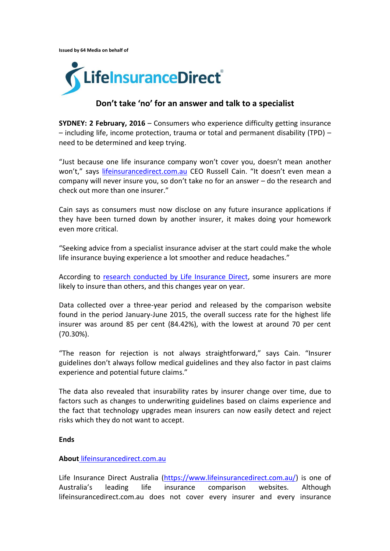**Issued by 64 Media on behalf of** 



## **Don't take 'no' for an answer and talk to a specialist**

**SYDNEY: 2 February, 2016** – Consumers who experience difficulty getting insurance – including life, income protection, trauma or total and permanent disability (TPD) – need to be determined and keep trying.

"Just because one life insurance company won't cover you, doesn't mean another won't," says [lifeinsurancedirect.com.au](https://www.lifeinsurancedirect.com.au/) CEO Russell Cain. "It doesn't even mean a company will never insure you, so don't take no for an answer – do the research and check out more than one insurer."

Cain says as consumers must now disclose on any future insurance applications if they have been turned down by another insurer, it makes doing your homework even more critical.

"Seeking advice from a specialist insurance adviser at the start could make the whole life insurance buying experience a lot smoother and reduce headaches."

According to [research conducted by Life Insurance Direct,](https://www.lifeinsurancedirect.com.au/insurability-2015-11-30/#lifeInsurers) some insurers are more likely to insure than others, and this changes year on year.

Data collected over a three-year period and released by the comparison website found in the period January-June 2015, the overall success rate for the highest life insurer was around 85 per cent (84.42%), with the lowest at around 70 per cent (70.30%).

"The reason for rejection is not always straightforward," says Cain. "Insurer guidelines don't always follow medical guidelines and they also factor in past claims experience and potential future claims."

The data also revealed that insurability rates by insurer change over time, due to factors such as changes to underwriting guidelines based on claims experience and the fact that technology upgrades mean insurers can now easily detect and reject risks which they do not want to accept.

## **Ends**

## **About** [lifeinsurancedirect.com.au](https://www.lifeinsurancedirect.com.au/)

Life Insurance Direct Australia [\(https://www.lifeinsurancedirect.com.au/\)](https://www.lifeinsurancedirect.com.au/) is one of Australia's leading life insurance comparison websites. Although lifeinsurancedirect.com.au does not cover every insurer and every insurance